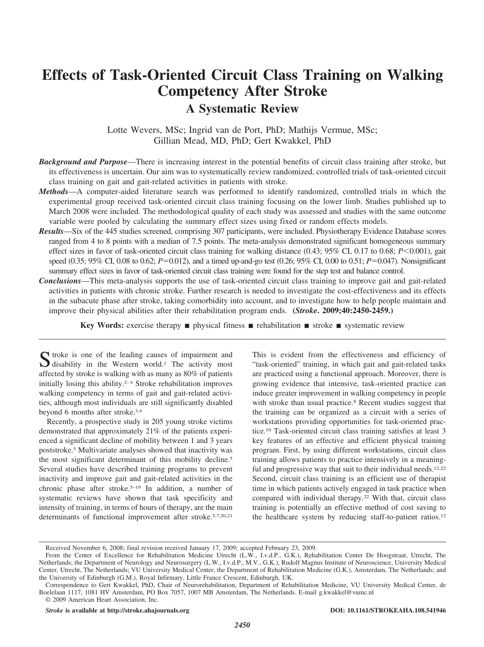# **Effects of Task-Oriented Circuit Class Training on Walking Competency After Stroke A Systematic Review**

Lotte Wevers, MSc; Ingrid van de Port, PhD; Mathijs Vermue, MSc; Gillian Mead, MD, PhD; Gert Kwakkel, PhD

- *Background and Purpose*—There is increasing interest in the potential benefits of circuit class training after stroke, but its effectiveness is uncertain. Our aim was to systematically review randomized, controlled trials of task-oriented circuit class training on gait and gait-related activities in patients with stroke.
- *Methods*—A computer-aided literature search was performed to identify randomized, controlled trials in which the experimental group received task-oriented circuit class training focusing on the lower limb. Studies published up to March 2008 were included. The methodological quality of each study was assessed and studies with the same outcome variable were pooled by calculating the summary effect sizes using fixed or random effects models.
- *Results*—Six of the 445 studies screened, comprising 307 participants, were included. Physiotherapy Evidence Database scores ranged from 4 to 8 points with a median of 7.5 points. The meta-analysis demonstrated significant homogeneous summary effect sizes in favor of task-oriented circuit class training for walking distance (0.43; 95% CI, 0.17 to 0.68; *P*<0.001), gait speed (0.35; 95% CI, 0.08 to 0.62;  $P=0.012$ ), and a timed up-and-go test (0.26; 95% CI, 0.00 to 0.51;  $P=0.047$ ). Nonsignificant summary effect sizes in favor of task-oriented circuit class training were found for the step test and balance control.
- *Conclusions*—This meta-analysis supports the use of task-oriented circuit class training to improve gait and gait-related activities in patients with chronic stroke. Further research is needed to investigate the cost-effectiveness and its effects in the subacute phase after stroke, taking comorbidity into account, and to investigate how to help people maintain and improve their physical abilities after their rehabilitation program ends. **(***Stroke***. 2009;40:2450-2459.)**

**Key Words:** exercise therapy **n** physical fitness **n** rehabilitation **n** stroke **n** systematic review

Stroke is one of the leading causes of impairment and<br>disability in the Western world.<sup>1</sup> The activity most affected by stroke is walking with as many as 80% of patients initially losing this ability. $2-4$  Stroke rehabilitation improves walking competency in terms of gait and gait-related activities, although most individuals are still significantly disabled beyond 6 months after stroke.3,4

Recently, a prospective study in 205 young stroke victims demonstrated that approximately 21% of the patients experienced a significant decline of mobility between 1 and 3 years poststroke.5 Multivariate analyses showed that inactivity was the most significant determinant of this mobility decline.<sup>5</sup> Several studies have described training programs to prevent inactivity and improve gait and gait-related activities in the chronic phase after stroke.<sup>5-19</sup> In addition, a number of systematic reviews have shown that task specificity and intensity of training, in terms of hours of therapy, are the main determinants of functional improvement after stroke.5,7,20,21

This is evident from the effectiveness and efficiency of "task-oriented" training, in which gait and gait-related tasks are practiced using a functional approach. Moreover, there is growing evidence that intensive, task-oriented practice can induce greater improvement in walking competency in people with stroke than usual practice.<sup>8</sup> Recent studies suggest that the training can be organized as a circuit with a series of workstations providing opportunities for task-oriented practice.10 Task-oriented circuit class training satisfies at least 3 key features of an effective and efficient physical training program. First, by using different workstations, circuit class training allows patients to practice intensively in a meaningful and progressive way that suit to their individual needs.<sup>12,22</sup> Second, circuit class training is an efficient use of therapist time in which patients actively engaged in task practice when compared with individual therapy.22 With that, circuit class training is potentially an effective method of cost saving to the healthcare system by reducing staff-to-patient ratios.12

Received November 6, 2008; final revision received January 17, 2009; accepted February 23, 2009.

From the Center of Excellence for Rehabilitation Medicine Utrecht (L.W., I.v.d.P., G.K.), Rehabilitation Center De Hoogstraat, Utrecht, The Netherlands; the Department of Neurology and Neurosurgery (L.W., I.v.d.P., M.V., G.K.), Rudolf Magnus Institute of Neuroscience, University Medical Center, Utrecht, The Netherlands; VU University Medical Center, the Department of Rehabilitation Medicine (G.K.), Amsterdam, The Netherlands; and the University of Edinburgh (G.M.), Royal Infirmary, Little France Crescent, Edinburgh, UK.

Correspondence to Gert Kwakkel, PhD, Chair of Neurorehabilitation, Department of Rehabilitation Medicine, VU University Medical Center, de Boelelaan 1117, 1081 HV Amsterdam, PO Box 7057, 1007 MB Amsterdam, The Netherlands. E-mail g.kwakkel@vumc.nl © 2009 American Heart Association, Inc.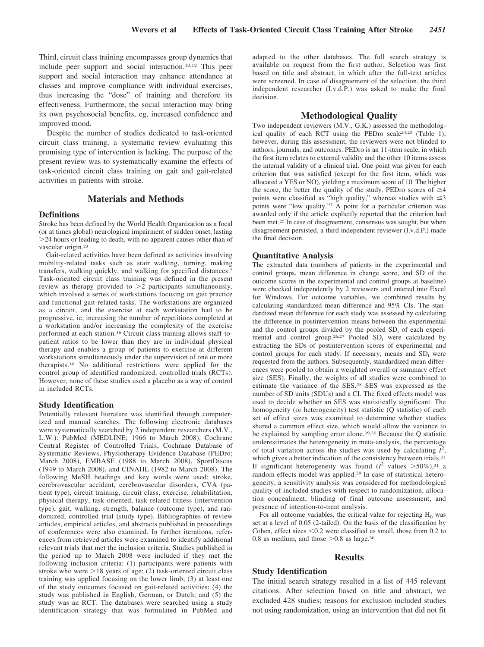Third, circuit class training encompasses group dynamics that include peer support and social interaction.10,12 This peer support and social interaction may enhance attendance at classes and improve compliance with individual exercises, thus increasing the "dose" of training and therefore its effectiveness. Furthermore, the social interaction may bring its own psychosocial benefits, eg, increased confidence and improved mood.

Despite the number of studies dedicated to task-oriented circuit class training, a systematic review evaluating this promising type of intervention is lacking. The purpose of the present review was to systematically examine the effects of task-oriented circuit class training on gait and gait-related activities in patients with stroke.

# **Materials and Methods**

#### **Definitions**

Stroke has been defined by the World Health Organization as a focal (or at times global) neurological impairment of sudden onset, lasting 24 hours or leading to death, with no apparent causes other than of vascular origin.23

Gait-related activities have been defined as activities involving mobility-related tasks such as stair walking, turning, making transfers, walking quickly, and walking for specified distances.5 Task-oriented circuit class training was defined in the present review as therapy provided to  $>2$  participants simultaneously, which involved a series of workstations focusing on gait practice and functional gait-related tasks. The workstations are organized as a circuit, and the exercise at each workstation had to be progressive, ie, increasing the number of repetitions completed at a workstation and/or increasing the complexity of the exercise performed at each station.16 Circuit class training allows staff-topatient ratios to be lower than they are in individual physical therapy and enables a group of patients to exercise at different workstations simultaneously under the supervision of one or more therapists.10 No additional restrictions were applied for the control group of identified randomized, controlled trials (RCTs). However, none of these studies used a placebo as a way of control in included RCTs.

#### **Study Identification**

Potentially relevant literature was identified through computerized and manual searches. The following electronic databases were systematically searched by 2 independent researchers (M.V., L.W.): PubMed (MEDLINE; 1966 to March 2008), Cochrane Central Register of Controlled Trials, Cochrane Database of Systematic Reviews, Physiotherapy Evidence Database (PEDro; March 2008), EMBASE (1988 to March 2008), SportDiscus (1949 to March 2008), and CINAHL (1982 to March 2008). The following MeSH headings and key words were used: stroke, cerebrovascular accident, cerebrovascular disorders, CVA (patient type), circuit training, circuit class, exercise, rehabilitation, physical therapy, task-oriented, task-related fitness (intervention type), gait, walking, strength, balance (outcome type), and randomized, controlled trial (study type). Bibliographies of review articles, empirical articles, and abstracts published in proceedings of conferences were also examined. In further iterations, references from retrieved articles were examined to identify additional relevant trials that met the inclusion criteria. Studies published in the period up to March 2008 were included if they met the following inclusion criteria: (1) participants were patients with stroke who were  $>18$  years of age; (2) task-oriented circuit class training was applied focusing on the lower limb; (3) at least one of the study outcomes focused on gait-related activities; (4) the study was published in English, German, or Dutch; and (5) the study was an RCT. The databases were searched using a study identification strategy that was formulated in PubMed and adapted to the other databases. The full search strategy is available on request from the first author. Selection was first based on title and abstract, in which after the full-text articles were screened. In case of disagreement of the selection, the third independent researcher (I.v.d.P.) was asked to make the final decision.

#### **Methodological Quality**

Two independent reviewers (M.V., G.K.) assessed the methodological quality of each RCT using the PEDro scale24,25 (Table 1); however, during this assessment, the reviewers were not blinded to authors, journals, and outcomes. PEDro is an 11-item scale, in which the first item relates to external validity and the other 10 items assess the internal validity of a clinical trial. One point was given for each criterion that was satisfied (except for the first item, which was allocated a YES or NO), yielding a maximum score of 10. The higher the score, the better the quality of the study. PEDro scores of  $\geq 4$ points were classified as "high quality," whereas studies with  $\leq 3$ points were "low quality."<sup>7</sup> A point for a particular criterion was awarded only if the article explicitly reported that the criterion had been met.25 In case of disagreement, consensus was sought, but when disagreement persisted, a third independent reviewer (I.v.d.P.) made the final decision.

#### **Quantitative Analysis**

The extracted data (numbers of patients in the experimental and control groups, mean difference in change score, and SD of the outcome scores in the experimental and control groups at baseline) were checked independently by 2 reviewers and entered into Excel for Windows. For outcome variables, we combined results by calculating standardized mean difference and 95% CIs. The standardized mean difference for each study was assessed by calculating the difference in postintervention means between the experimental and the control groups divided by the pooled  $SD<sub>i</sub>$  of each experimental and control group.<sup>26,27</sup> Pooled SD<sub>i</sub> were calculated by extracting the SDs of postintervention scores of experimental and control groups for each study. If necessary, means and SD, were requested from the authors. Subsequently, standardized mean differences were pooled to obtain a weighted overall or summary effect size (SES). Finally, the weights of all studies were combined to estimate the variance of the SES.28 SES was expressed as the number of SD units (SDUs) and a CI. The fixed effects model was used to decide whether an SES was statistically significant. The homogeneity (or heterogeneity) test statistic (Q statistic) of each set of effect sizes was examined to determine whether studies shared a common effect size, which would allow the variance to be explained by sampling error alone.29,30 Because the Q statistic underestimates the heterogeneity in meta-analysis, the percentage of total variation across the studies was used by calculating  $\tilde{I}^2$ , which gives a better indication of the consistency between trials.<sup>31</sup> If significant heterogeneity was found  $(I^2$  values  $> 50\%)$ ,<sup>31</sup> a random effects model was applied.29 In case of statistical heterogeneity, a sensitivity analysis was considered for methodological quality of included studies with respect to randomization, allocation concealment, blinding of final outcome assessment, and presence of intention-to-treat analysis.

For all outcome variables, the critical value for rejecting  $H_0$  was set at a level of 0.05 (2-tailed). On the basis of the classification by Cohen, effect sizes  $\leq 0.2$  were classified as small, those from 0.2 to 0.8 as medium, and those  $>0.8$  as large.<sup>30</sup>

# **Results**

# **Study Identification**

The initial search strategy resulted in a list of 445 relevant citations. After selection based on title and abstract, we excluded 428 studies; reasons for exclusion included studies not using randomization, using an intervention that did not fit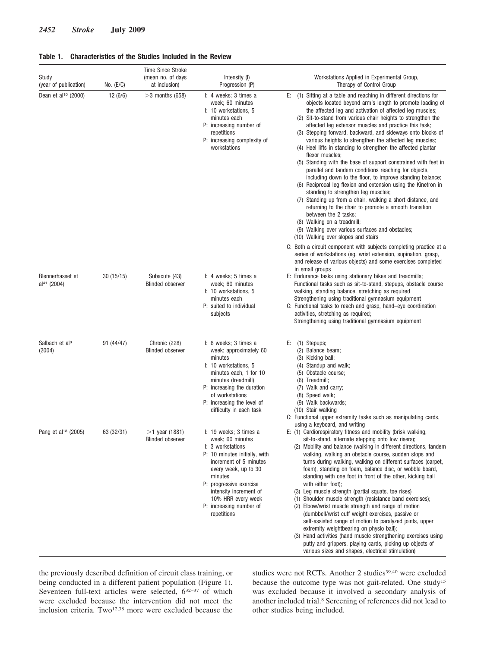| Study<br>(year of publication)              | No. $(E/C)$ | <b>Time Since Stroke</b><br>(mean no. of days<br>at inclusion) | Intensity (I)<br>Progression (P)                                                                                                                                                                                                                                                   | Workstations Applied in Experimental Group,<br>Therapy of Control Group                                                                                                                                                                                                                                                                                                                                                                                                                                                                                                                                                                                                                                                                                                                                                                                                                                                                                                                                                                                                                                       |  |  |  |
|---------------------------------------------|-------------|----------------------------------------------------------------|------------------------------------------------------------------------------------------------------------------------------------------------------------------------------------------------------------------------------------------------------------------------------------|---------------------------------------------------------------------------------------------------------------------------------------------------------------------------------------------------------------------------------------------------------------------------------------------------------------------------------------------------------------------------------------------------------------------------------------------------------------------------------------------------------------------------------------------------------------------------------------------------------------------------------------------------------------------------------------------------------------------------------------------------------------------------------------------------------------------------------------------------------------------------------------------------------------------------------------------------------------------------------------------------------------------------------------------------------------------------------------------------------------|--|--|--|
| Dean et al <sup>10</sup> (2000)             | 12(6/6)     | $>3$ months (658)                                              | I: 4 weeks; 3 times a<br>week; 60 minutes<br>I: 10 workstations, 5<br>minutes each<br>P: increasing number of<br>repetitions<br>P: increasing complexity of<br>workstations                                                                                                        | E: (1) Sitting at a table and reaching in different directions for<br>objects located beyond arm's length to promote loading of<br>the affected leg and activation of affected leg muscles;<br>(2) Sit-to-stand from various chair heights to strengthen the<br>affected leg extensor muscles and practice this task;<br>(3) Stepping forward, backward, and sideways onto blocks of<br>various heights to strengthen the affected leg muscles;<br>(4) Heel lifts in standing to strengthen the affected plantar<br>flexor muscles;<br>(5) Standing with the base of support constrained with feet in<br>parallel and tandem conditions reaching for objects,<br>including down to the floor, to improve standing balance;<br>(6) Reciprocal leg flexion and extension using the Kinetron in<br>standing to strengthen leg muscles;<br>(7) Standing up from a chair, walking a short distance, and<br>returning to the chair to promote a smooth transition<br>between the 2 tasks;<br>(8) Walking on a treadmill;<br>(9) Walking over various surfaces and obstacles;<br>(10) Walking over slopes and stairs |  |  |  |
|                                             |             |                                                                |                                                                                                                                                                                                                                                                                    | C: Both a circuit component with subjects completing practice at a<br>series of workstations (eg, wrist extension, supination, grasp,<br>and release of various objects) and some exercises completed<br>in small groups                                                                                                                                                                                                                                                                                                                                                                                                                                                                                                                                                                                                                                                                                                                                                                                                                                                                                      |  |  |  |
| Blennerhasset et<br>al <sup>41</sup> (2004) | 30(15/15)   | Subacute (43)<br><b>Blinded observer</b>                       | I: 4 weeks; 5 times a<br>week; 60 minutes<br>I: 10 workstations, 5<br>minutes each<br>P: suited to individual<br>subjects                                                                                                                                                          | E: Endurance tasks using stationary bikes and treadmills;<br>Functional tasks such as sit-to-stand, stepups, obstacle course<br>walking, standing balance, stretching as required<br>Strengthening using traditional gymnasium equipment<br>C: Functional tasks to reach and grasp, hand-eye coordination<br>activities, stretching as required;<br>Strengthening using traditional gymnasium equipment                                                                                                                                                                                                                                                                                                                                                                                                                                                                                                                                                                                                                                                                                                       |  |  |  |
| Salbach et al <sup>8</sup><br>(2004)        | 91 (44/47)  | Chronic (228)<br><b>Blinded observer</b>                       | I: 6 weeks; 3 times a<br>week; approximately 60<br>minutes<br>I: 10 workstations, 5<br>minutes each, 1 for 10<br>minutes (treadmill)<br>P: increasing the duration<br>of workstations<br>P: increasing the level of<br>difficulty in each task                                     | (1) Stepups;<br>E:<br>(2) Balance beam;<br>(3) Kicking ball;<br>(4) Standup and walk;<br>(5) Obstacle course;<br>(6) Treadmill;<br>(7) Walk and carry;<br>(8) Speed walk;<br>(9) Walk backwards;<br>(10) Stair walking<br>C: Functional upper extremity tasks such as manipulating cards,                                                                                                                                                                                                                                                                                                                                                                                                                                                                                                                                                                                                                                                                                                                                                                                                                     |  |  |  |
| Pang et al <sup>18</sup> (2005)             | 63 (32/31)  | $>1$ year (1881)<br><b>Blinded observer</b>                    | I: 19 weeks; 3 times a<br>week; 60 minutes<br>I: 3 workstations<br>P: 10 minutes initially, with<br>increment of 5 minutes<br>every week, up to 30<br>minutes<br>P: progressive exercise<br>intensity increment of<br>10% HRR every week<br>P: increasing number of<br>repetitions | using a keyboard, and writing<br>E: (1) Cardiorespiratory fitness and mobility (brisk walking,<br>sit-to-stand, alternate stepping onto low risers);<br>(2) Mobility and balance (walking in different directions, tandem<br>walking, walking an obstacle course, sudden stops and<br>turns during walking, walking on different surfaces (carpet,<br>foam), standing on foam, balance disc, or wobble board,<br>standing with one foot in front of the other, kicking ball<br>with either foot):<br>(3) Leg muscle strength (partial squats, toe rises)<br>(1) Shoulder muscle strength (resistance band exercises);<br>(2) Elbow/wrist muscle strength and range of motion<br>(dumbbell/wrist cuff weight exercises, passive or<br>self-assisted range of motion to paralyzed joints, upper<br>extremity weightbearing on physio ball);<br>(3) Hand activities (hand muscle strengthening exercises using<br>putty and grippers, playing cards, picking up objects of<br>various sizes and shapes, electrical stimulation)                                                                                  |  |  |  |

the previously described definition of circuit class training, or being conducted in a different patient population (Figure 1). Seventeen full-text articles were selected,  $6^{32-37}$  of which were excluded because the intervention did not meet the inclusion criteria. Two<sup>12,38</sup> more were excluded because the studies were not RCTs. Another 2 studies<sup>39,40</sup> were excluded because the outcome type was not gait-related. One study15 was excluded because it involved a secondary analysis of another included trial.8 Screening of references did not lead to other studies being included.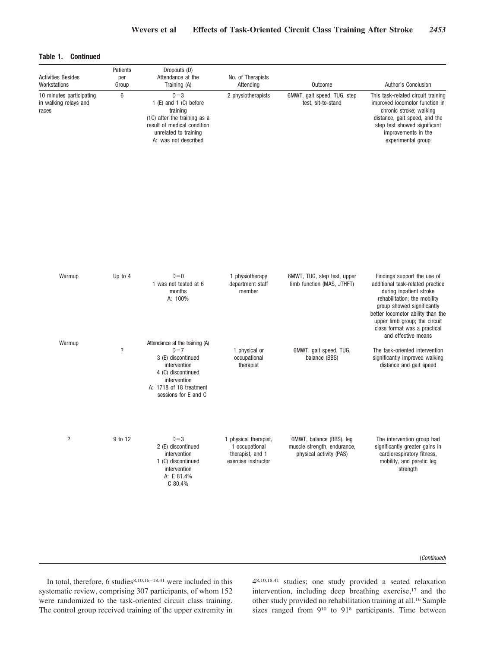# **Table 1. Continued**

| <b>Activities Besides</b><br>Workstations                  | Patients<br>per<br>Group                                                                                                                                         | Dropouts (D)<br>Attendance at the<br>Training (A)                                                                                                                      | No. of Therapists<br>Attending                                                     | Outcome                                                                            | Author's Conclusion                                                                                                                                                                                                            |  |  |
|------------------------------------------------------------|------------------------------------------------------------------------------------------------------------------------------------------------------------------|------------------------------------------------------------------------------------------------------------------------------------------------------------------------|------------------------------------------------------------------------------------|------------------------------------------------------------------------------------|--------------------------------------------------------------------------------------------------------------------------------------------------------------------------------------------------------------------------------|--|--|
| 10 minutes participating<br>in walking relays and<br>races | 6<br>$D=3$<br>1 (E) and 1 (C) before<br>training<br>(1C) after the training as a<br>result of medical condition<br>unrelated to training<br>A: was not described |                                                                                                                                                                        | 2 physiotherapists                                                                 | 6MWT, gait speed, TUG, step<br>test, sit-to-stand                                  | This task-related circuit training<br>improved locomotor function in<br>chronic stroke; walking<br>distance, gait speed, and the<br>step test showed significant<br>improvements in the<br>experimental group                  |  |  |
| Warmup                                                     | Up to $4$                                                                                                                                                        | $D=0$<br>1 was not tested at 6<br>months<br>A: 100%                                                                                                                    | 1 physiotherapy<br>department staff<br>member                                      | 6MWT, TUG, step test, upper<br>limb function (MAS, JTHFT)                          | Findings support the use of<br>additional task-related practice<br>during inpatient stroke<br>rehabilitation; the mobility<br>group showed significantly<br>better locomotor ability than the<br>upper limb group; the circuit |  |  |
| Warmup                                                     | $\overline{\phantom{a}}$                                                                                                                                         | Attendance at the training (A)<br>$D=7$<br>3 (E) discontinued<br>intervention<br>4 (C) discontinued<br>intervention<br>A: 1718 of 18 treatment<br>sessions for E and C | 1 physical or<br>occupational<br>therapist                                         | 6MWT, gait speed, TUG,<br>balance (BBS)                                            | class format was a practical<br>and effective means<br>The task-oriented intervention<br>significantly improved walking<br>distance and gait speed                                                                             |  |  |
| $\overline{\cdot}$                                         | 9 to 12                                                                                                                                                          | $D=3$<br>2 (E) discontinued<br>intervention<br>1 (C) discontinued<br>intervention<br>A: E 81.4%<br>C 80.4%                                                             | 1 physical therapist,<br>1 occupational<br>therapist, and 1<br>exercise instructor | 6MWT, balance (BBS), leg<br>muscle strength, endurance,<br>physical activity (PAS) | The intervention group had<br>significantly greater gains in<br>cardiorespiratory fitness,<br>mobility, and paretic leg<br>strength                                                                                            |  |  |

#### (*Continued*)

In total, therefore, 6 studies<sup>8,10,16-18,41</sup> were included in this systematic review, comprising 307 participants, of whom 152 were randomized to the task-oriented circuit class training. The control group received training of the upper extremity in 48,10,18,41 studies; one study provided a seated relaxation intervention, including deep breathing exercise,<sup>17</sup> and the other study provided no rehabilitation training at all.16 Sample sizes ranged from 910 to 918 participants. Time between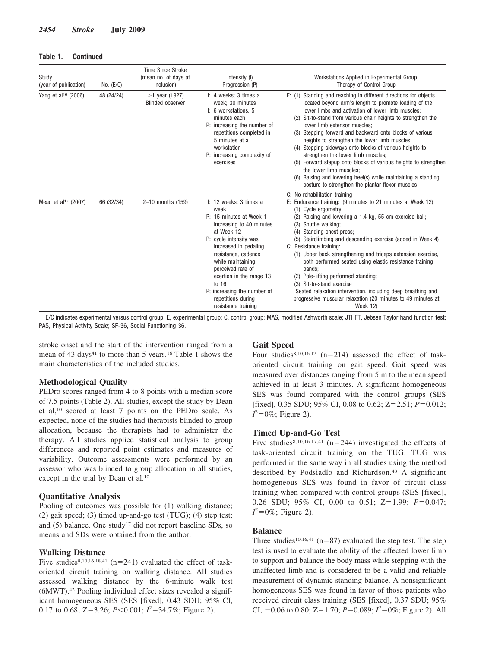## **Table 1. Continued**

| Study<br>(year of publication)  | No. $(E/C)$ | <b>Time Since Stroke</b><br>(mean no. of days at<br>inclusion) | Intensity (I)<br>Progression (P)                                                                                                                                                                                                                                                                                                         | Workstations Applied in Experimental Group,<br>Therapy of Control Group                                                                                                                                                                                                                                                                                                                                                                                                                                                                                                                                                                                                                                          |
|---------------------------------|-------------|----------------------------------------------------------------|------------------------------------------------------------------------------------------------------------------------------------------------------------------------------------------------------------------------------------------------------------------------------------------------------------------------------------------|------------------------------------------------------------------------------------------------------------------------------------------------------------------------------------------------------------------------------------------------------------------------------------------------------------------------------------------------------------------------------------------------------------------------------------------------------------------------------------------------------------------------------------------------------------------------------------------------------------------------------------------------------------------------------------------------------------------|
| Yang et al <sup>16</sup> (2006) | 48 (24/24)  | $>1$ year (1927)<br><b>Blinded observer</b>                    | I: 4 weeks; 3 times a<br>week; 30 minutes<br>I: 6 workstations, 5<br>minutes each<br>P: increasing the number of<br>repetitions completed in<br>5 minutes at a<br>workstation<br>P: increasing complexity of<br>exercises                                                                                                                | E: (1) Standing and reaching in different directions for objects<br>located beyond arm's length to promote loading of the<br>lower limbs and activation of lower limb muscles:<br>(2) Sit-to-stand from various chair heights to strengthen the<br>lower limb extensor muscles:<br>(3) Stepping forward and backward onto blocks of various<br>heights to strengthen the lower limb muscles;<br>(4) Stepping sideways onto blocks of various heights to<br>strengthen the lower limb muscles;<br>(5) Forward stepup onto blocks of various heights to strengthen<br>the lower limb muscles:<br>(6) Raising and lowering heel(s) while maintaining a standing<br>posture to strengthen the plantar flexor muscles |
| Mead et al <sup>17</sup> (2007) | 66 (32/34)  | 2-10 months (159)                                              | I: 12 weeks; 3 times a<br>week<br>P: 15 minutes at Week 1<br>increasing to 40 minutes<br>at Week 12<br>P: cycle intensity was<br>increased in pedaling<br>resistance, cadence<br>while maintaining<br>perceived rate of<br>exertion in the range 13<br>to 16<br>P; increasing the number of<br>repetitions during<br>resistance training | C: No rehabilitation training<br>E: Endurance training: (9 minutes to 21 minutes at Week 12)<br>(1) Cycle ergometry;<br>(2) Raising and lowering a 1.4-kg, 55-cm exercise ball;<br>Shuttle walking:<br>(3)<br>(4) Standing chest press:<br>(5) Stairclimbing and descending exercise (added in Week 4)<br>C: Resistance training:<br>(1) Upper back strengthening and triceps extension exercise,<br>both performed seated using elastic resistance training<br>bands:<br>(2) Pole-lifting performed standing;<br>(3) Sit-to-stand exercise<br>Seated relaxation intervention, including deep breathing and<br>progressive muscular relaxation (20 minutes to 49 minutes at<br>Week 12)                          |

E/C indicates experimental versus control group; E, experimental group; C, control group; MAS, modified Ashworth scale; JTHFT, Jebsen Taylor hand function test; PAS, Physical Activity Scale; SF-36, Social Functioning 36.

stroke onset and the start of the intervention ranged from a mean of 43 days<sup>41</sup> to more than 5 years.<sup>16</sup> Table 1 shows the main characteristics of the included studies.

# **Methodological Quality**

PEDro scores ranged from 4 to 8 points with a median score of 7.5 points (Table 2). All studies, except the study by Dean et al,10 scored at least 7 points on the PEDro scale. As expected, none of the studies had therapists blinded to group allocation, because the therapists had to administer the therapy. All studies applied statistical analysis to group differences and reported point estimates and measures of variability. Outcome assessments were performed by an assessor who was blinded to group allocation in all studies, except in the trial by Dean et al.<sup>10</sup>

# **Quantitative Analysis**

Pooling of outcomes was possible for (1) walking distance; (2) gait speed; (3) timed up-and-go test (TUG); (4) step test; and (5) balance. One study17 did not report baseline SDs, so means and SDs were obtained from the author.

# **Walking Distance**

Five studies<sup>8,10,16,18,41</sup> ( $n=241$ ) evaluated the effect of taskoriented circuit training on walking distance. All studies assessed walking distance by the 6-minute walk test (6MWT).42 Pooling individual effect sizes revealed a significant homogeneous SES (SES [fixed], 0.43 SDU; 95% CI, 0.17 to 0.68; Z=3.26;  $P \le 0.001$ ;  $I^2 = 34.7\%$ ; Figure 2).

# **Gait Speed**

Four studies<sup>8,10,16,17</sup> ( $n=214$ ) assessed the effect of taskoriented circuit training on gait speed. Gait speed was measured over distances ranging from 5 m to the mean speed achieved in at least 3 minutes. A significant homogeneous SES was found compared with the control groups (SES [fixed], 0.35 SDU; 95% CI, 0.08 to 0.62; Z=2.51; P=0.012;  $I^2 = 0\%$ ; Figure 2).

### **Timed Up-and-Go Test**

Five studies<sup>8,10,16,17,41</sup> ( $n=244$ ) investigated the effects of task-oriented circuit training on the TUG. TUG was performed in the same way in all studies using the method described by Podsiadlo and Richardson.43 A significant homogeneous SES was found in favor of circuit class training when compared with control groups (SES [fixed], 0.26 SDU; 95% CI, 0.00 to 0.51; Z=1.99; P=0.047;  $I^2 = 0\%$ ; Figure 2).

### **Balance**

Three studies<sup>10,16,41</sup> ( $n=87$ ) evaluated the step test. The step test is used to evaluate the ability of the affected lower limb to support and balance the body mass while stepping with the unaffected limb and is considered to be a valid and reliable measurement of dynamic standing balance. A nonsignificant homogeneous SES was found in favor of those patients who received circuit class training (SES [fixed], 0.37 SDU; 95% CI,  $-0.06$  to 0.80; Z=1.70;  $P=0.089$ ;  $I^2=0\%$ ; Figure 2). All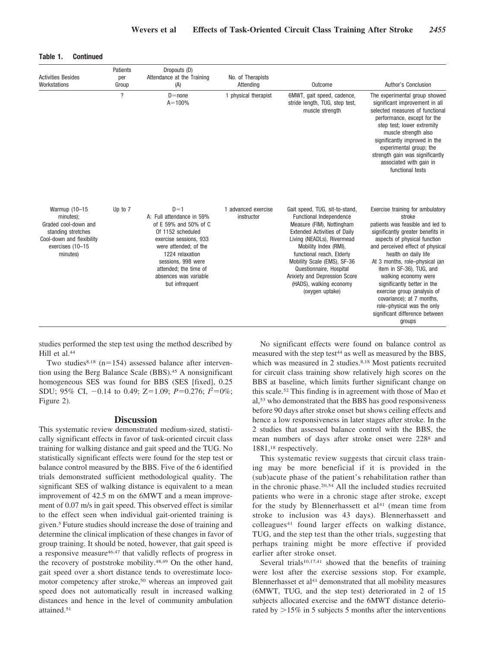| <b>Activities Besides</b><br>Workstations                                                                                             | Patients<br>Dropouts (D)<br>Attendance at the Training<br>per<br>Group<br>(A) |                                                                                                                                                                                                                                                  | No. of Therapists<br>Attending    | Outcome                                                                                                                                                                                                                                                                                                                                                   | Author's Conclusion                                                                                                                                                                                                                                                                                                                                                                                                                                                        |
|---------------------------------------------------------------------------------------------------------------------------------------|-------------------------------------------------------------------------------|--------------------------------------------------------------------------------------------------------------------------------------------------------------------------------------------------------------------------------------------------|-----------------------------------|-----------------------------------------------------------------------------------------------------------------------------------------------------------------------------------------------------------------------------------------------------------------------------------------------------------------------------------------------------------|----------------------------------------------------------------------------------------------------------------------------------------------------------------------------------------------------------------------------------------------------------------------------------------------------------------------------------------------------------------------------------------------------------------------------------------------------------------------------|
|                                                                                                                                       | $\overline{?}$                                                                | $D = none$<br>$A = 100%$                                                                                                                                                                                                                         | 1 physical therapist              | 6MWT, gait speed, cadence,<br>stride length, TUG, step test,<br>muscle strength                                                                                                                                                                                                                                                                           | The experimental group showed<br>significant improvement in all<br>selected measures of functional<br>performance, except for the<br>step test; lower extremity<br>muscle strength also<br>significantly improved in the<br>experimental group; the<br>strength gain was significantly<br>associated with gain in<br>functional tests                                                                                                                                      |
| Warmup (10-15<br>minutes);<br>Graded cool-down and<br>standing stretches<br>Cool-down and flexibility<br>exercises (10-15<br>minutes) | Up to 7                                                                       | $D=1$<br>A: Full attendance in 59%<br>of E 59% and 50% of C<br>Of 1152 scheduled<br>exercise sessions, 933<br>were attended; of the<br>1224 relaxation<br>sessions, 998 were<br>attended; the time of<br>absences was variable<br>but infrequent | 1 advanced exercise<br>instructor | Gait speed, TUG, sit-to-stand,<br>Functional Independence<br>Measure (FIM), Nottingham<br><b>Extended Activities of Daily</b><br>Living (NEADLs), Rivermead<br>Mobility Index (RMI),<br>functional reach, Elderly<br>Mobility Scale (EMS), SF-36<br>Questionnaire, Hospital<br>Anxiety and Depression Score<br>(HADS), walking economy<br>(oxygen uptake) | Exercise training for ambulatory<br>stroke<br>patients was feasible and led to<br>significantly greater benefits in<br>aspects of physical function<br>and perceived effect of physical<br>health on daily life<br>At 3 months, role-physical (an<br>item in SF-36), TUG, and<br>walking economy were<br>significantly better in the<br>exercise group (analysis of<br>covariance); at 7 months,<br>role-physical was the only<br>significant difference between<br>groups |

#### **Table 1. Continued**

studies performed the step test using the method described by Hill et al.<sup>44</sup>

Two studies<sup>8,18</sup> ( $n=154$ ) assessed balance after intervention using the Berg Balance Scale (BBS).<sup>45</sup> A nonsignificant homogeneous SES was found for BBS (SES [fixed], 0.25 SDU; 95% CI,  $-0.14$  to 0.49; Z=1.09;  $P=0.276$ ;  $I^2=0\%$ ; Figure 2).

# **Discussion**

This systematic review demonstrated medium-sized, statistically significant effects in favor of task-oriented circuit class training for walking distance and gait speed and the TUG. No statistically significant effects were found for the step test or balance control measured by the BBS. Five of the 6 identified trials demonstrated sufficient methodological quality. The significant SES of walking distance is equivalent to a mean improvement of 42.5 m on the 6MWT and a mean improvement of 0.07 m/s in gait speed. This observed effect is similar to the effect seen when individual gait-oriented training is given.5 Future studies should increase the dose of training and determine the clinical implication of these changes in favor of group training. It should be noted, however, that gait speed is a responsive measure46,47 that validly reflects of progress in the recovery of poststroke mobility.48,49 On the other hand, gait speed over a short distance tends to overestimate locomotor competency after stroke,50 whereas an improved gait speed does not automatically result in increased walking distances and hence in the level of community ambulation attained.51

No significant effects were found on balance control as measured with the step test<sup>44</sup> as well as measured by the BBS, which was measured in 2 studies.<sup>8,18</sup> Most patients recruited for circuit class training show relatively high scores on the BBS at baseline, which limits further significant change on this scale.52 This finding is in agreement with those of Mao et al,53 who demonstrated that the BBS has good responsiveness before 90 days after stroke onset but shows ceiling effects and hence a low responsiveness in later stages after stroke. In the 2 studies that assessed balance control with the BBS, the mean numbers of days after stroke onset were 2288 and 1881,18 respectively.

This systematic review suggests that circuit class training may be more beneficial if it is provided in the (sub)acute phase of the patient's rehabilitation rather than in the chronic phase.20,54 All the included studies recruited patients who were in a chronic stage after stroke, except for the study by Blennerhassett et  $al<sup>41</sup>$  (mean time from stroke to inclusion was 43 days). Blennerhassett and colleagues<sup>41</sup> found larger effects on walking distance, TUG, and the step test than the other trials, suggesting that perhaps training might be more effective if provided earlier after stroke onset.

Several trials<sup>10,17,41</sup> showed that the benefits of training were lost after the exercise sessions stop. For example, Blennerhasset et al<sup>41</sup> demonstrated that all mobility measures (6MWT, TUG, and the step test) deteriorated in 2 of 15 subjects allocated exercise and the 6MWT distance deteriorated by  $>15\%$  in 5 subjects 5 months after the interventions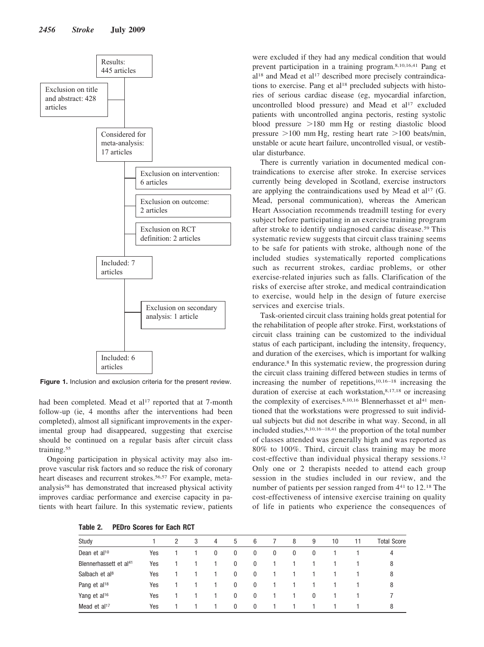

**Figure 1.** Inclusion and exclusion criteria for the present review.

had been completed. Mead et al<sup>17</sup> reported that at 7-month follow-up (ie, 4 months after the interventions had been completed), almost all significant improvements in the experimental group had disappeared, suggesting that exercise should be continued on a regular basis after circuit class training.<sup>55</sup>

Ongoing participation in physical activity may also improve vascular risk factors and so reduce the risk of coronary heart diseases and recurrent strokes.<sup>56,57</sup> For example, metaanalysis58 has demonstrated that increased physical activity improves cardiac performance and exercise capacity in patients with heart failure. In this systematic review, patients

**Table 2. PEDro Scores for Each RCT**

were excluded if they had any medical condition that would prevent participation in a training program.8,10,16,41 Pang et al<sup>18</sup> and Mead et al<sup>17</sup> described more precisely contraindications to exercise. Pang et al<sup>18</sup> precluded subjects with histories of serious cardiac disease (eg, myocardial infarction, uncontrolled blood pressure) and Mead et al<sup>17</sup> excluded patients with uncontrolled angina pectoris, resting systolic blood pressure  $>180$  mm Hg or resting diastolic blood pressure  $>100$  mm Hg, resting heart rate  $>100$  beats/min, unstable or acute heart failure, uncontrolled visual, or vestibular disturbance.

There is currently variation in documented medical contraindications to exercise after stroke. In exercise services currently being developed in Scotland, exercise instructors are applying the contraindications used by Mead et al<sup>17</sup> (G. Mead, personal communication), whereas the American Heart Association recommends treadmill testing for every subject before participating in an exercise training program after stroke to identify undiagnosed cardiac disease.59 This systematic review suggests that circuit class training seems to be safe for patients with stroke, although none of the included studies systematically reported complications such as recurrent strokes, cardiac problems, or other exercise-related injuries such as falls. Clarification of the risks of exercise after stroke, and medical contraindication to exercise, would help in the design of future exercise services and exercise trials.

Task-oriented circuit class training holds great potential for the rehabilitation of people after stroke. First, workstations of circuit class training can be customized to the individual status of each participant, including the intensity, frequency, and duration of the exercises, which is important for walking endurance.8 In this systematic review, the progression during the circuit class training differed between studies in terms of increasing the number of repetitions, $10,16 - 18$  increasing the duration of exercise at each workstation,<sup>8,17,18</sup> or increasing the complexity of exercises. $8,10,16$  Blennerhasset et al<sup>41</sup> mentioned that the workstations were progressed to suit individual subjects but did not describe in what way. Second, in all included studies,8,10,16 –18,41 the proportion of the total number of classes attended was generally high and was reported as 80% to 100%. Third, circuit class training may be more cost-effective than individual physical therapy sessions.12 Only one or 2 therapists needed to attend each group session in the studies included in our review, and the number of patients per session ranged from  $4<sup>41</sup>$  to 12.<sup>18</sup> The cost-effectiveness of intensive exercise training on quality of life in patients who experience the consequences of

| Study                              |     | 2 | 3 | 4 | 5            | 6            |   | 8 | 9        | 10 | 11 | <b>Total Score</b> |
|------------------------------------|-----|---|---|---|--------------|--------------|---|---|----------|----|----|--------------------|
| Dean et al <sup>10</sup>           | Yes |   |   | 0 | 0            | $\bf{0}$     | 0 | 0 | $\theta$ |    |    | 4                  |
| Blennerhassett et al <sup>41</sup> | Yes |   |   |   | 0            | $\mathbf 0$  |   |   |          |    |    | 8                  |
| Salbach et al <sup>8</sup>         | Yes |   |   |   | $\mathbf 0$  | $\mathbf 0$  |   |   |          |    |    | 8                  |
| Pang et al <sup>18</sup>           | Yes |   |   |   | 0            | $\mathbf 0$  |   |   |          |    |    | 8                  |
| Yang et al <sup>16</sup>           | Yes |   |   |   | 0            | $\mathbf 0$  |   |   | 0        |    |    |                    |
| Mead et $al17$                     | Yes |   |   |   | $\mathbf{0}$ | $\mathbf{0}$ |   |   |          |    |    | 8                  |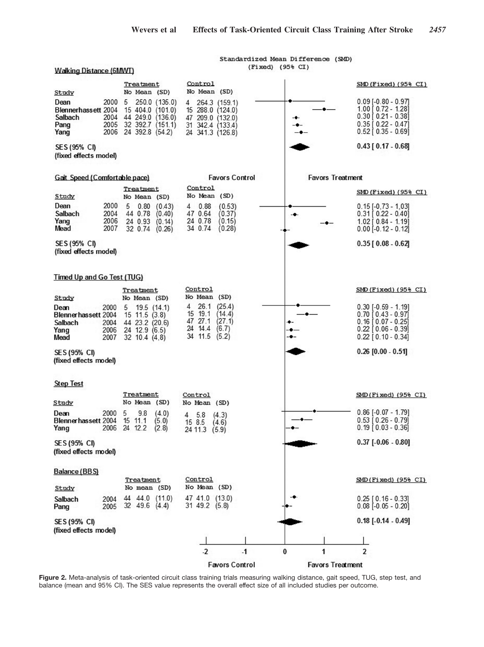Standardized Mean Difference (SMD) (Fixed) (95% CI)

**Walking Distance (6MWT)** 

#### Control  $SMD(Fixed)$  (95% CI) Treatment No Mean (SD) Study No Mean (SD) 2000 5 250.0 (135.0) 264.3 (159.1)  $0.09$  [-0.80 - 0.97] Dean 4 1.00 [ 0.72 - 1.28] Blennerhassett 2004 15 404.0 (101.0) 15 288.0 (124.0) 44 249.0 (136.0)<br>32 392.7 (151.1)  $0.30$   $0.21 - 0.38$ 2004 Salbach 47 209.0 (132.0)<br>31 342.4 (133.4)  $0.35$  [  $0.22 - 0.47$ ] Pang 2005 2006 24 392.8 (54.2) 24 341.3 (126.8)  $0.52$   $0.35 - 0.69$ Yang  $0.43$  [  $0.17 - 0.68$ ] SES (95% CI) (fixed effects model) Gait Speed (Comfortable pace) **Favors Control Favors Treatment** Control Treatment.  $SMD$  (Fixed) (95% CI) No Mean (SD) Study No Mean (SD) Dean 2000 5  $0.80$  $(0.43)$ 0.88  $(0.53)$  $0.15[-0.73 - 1.03]$ 4 Salbach 2004 44 0.78  $(0.40)$ 47 0.64  $(0.37)$  $0.31$   $0.22 - 0.40$ -0  $(0.15)$  $(0.14)$ Yang 24 0.93 24 0.78 2006  $1.02$  [  $0.84 - 1.19$ ] Mead 2007 32 0.74 (0.26) 34 0.74  $(0.28)$  $0.00$   $-0.12 - 0.12$ SES (95% CI)  $0.35$  [  $0.08 - 0.62$ ] (fixed effects model) **Timed Up and Go Test (TUG)** Control  $SMD$ (Fixed) (95% CI) Treatment Study No Mean (SD) No Mean (SD)  $\overline{4}$  $26.1$  $(25.4)$  $0.30$  [-0.59 - 1.19] Dean 2000 5 19.5 (14.1) 15 19.1  $(14.4)$  $0.70$   $0.43 - 0.97$ Blennerhassett 2004  $15$  11.5  $(3.8)$ 47 27.1 44 23.2 (20.6)  $(27.1)$  $0.16$   $0.07 - 0.25$ Salbach 2004 24 14.4  $(6.7)$ Yang  $0.22$   $[0.06 - 0.39]$ 2006 24 12.9 (6.5) 34 11.5  $(5.2)$ 2007  $32$  10.4  $(4, 8)$  $0.22$   $[0.10 - 0.34]$ Mead SES (95% CI)  $0.26$  [0.00 - 0.51] (fixed effects model) **Step Test** Treatment Control  $SMD(Fixed)$  (95% CI) No Mean (SD) Study No Mean (SD)  $0.86$   $[-0.07 - 1.79]$ 2000  $(4.0)$ Dean 5 9.8  $\overline{4}$ 5.8  $(4.3)$  $0.53$   $[0.26 - 0.79]$ Blennerhassett 2004 15 11.1  $(5.0)$ 15 8.5  $(4.6)$  $(2.8)$  $0.19$   $0.03 - 0.36$ 2006 24 12.2 Yang 24 11.3  $(5.9)$ SES (95% CI)  $0.37$  [ $-0.06 - 0.80$ ] (fixed effects model) Balance (BBS) SMD(Fixed) (95% CI) Control Treatment No Mean (SD) No mean (SD) Study 44 44.0 (11.0) 47 41.0 (13.0)  $0.25$   $[0.16 - 0.33]$ Salbach 2004 32 49.6 (4.4) 31 49.2 (5.8)  $0.08$   $[-0.05 - 0.20]$ 2005 Pang  $0.18$  [ $-0.14 - 0.49$ ] SES (95% CI) (fixed effects model)  $-2$  $-1$  $\bf{0}$ 1  $\overline{2}$ **Favors Control Favors Treatment**

**Figure 2.** Meta-analysis of task-oriented circuit class training trials measuring walking distance, gait speed, TUG, step test, and balance (mean and 95% CI). The SES value represents the overall effect size of all included studies per outcome.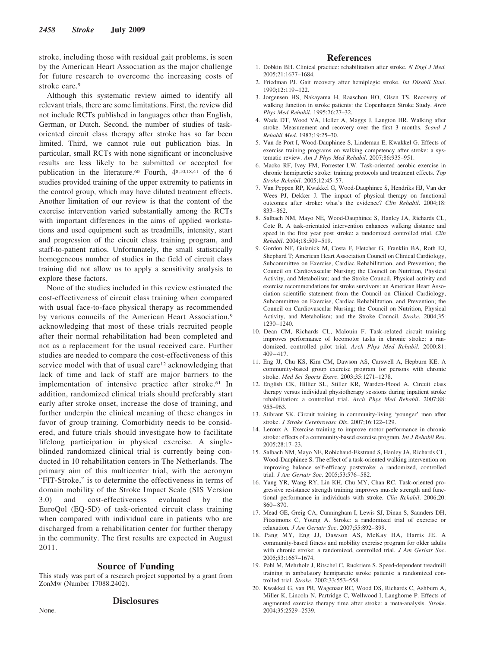stroke, including those with residual gait problems, is seen by the American Heart Association as the major challenge for future research to overcome the increasing costs of stroke care.<sup>9</sup>

Although this systematic review aimed to identify all relevant trials, there are some limitations. First, the review did not include RCTs published in languages other than English, German, or Dutch. Second, the number of studies of taskoriented circuit class therapy after stroke has so far been limited. Third, we cannot rule out publication bias. In particular, small RCTs with none significant or inconclusive results are less likely to be submitted or accepted for publication in the literature.<sup>60</sup> Fourth, 48,10,18,41 of the 6 studies provided training of the upper extremity to patients in the control group, which may have diluted treatment effects. Another limitation of our review is that the content of the exercise intervention varied substantially among the RCTs with important differences in the aims of applied workstations and used equipment such as treadmills, intensity, start and progression of the circuit class training program, and staff-to-patient ratios. Unfortunately, the small statistically homogeneous number of studies in the field of circuit class training did not allow us to apply a sensitivity analysis to explore these factors.

None of the studies included in this review estimated the cost-effectiveness of circuit class training when compared with usual face-to-face physical therapy as recommended by various councils of the American Heart Association,<sup>9</sup> acknowledging that most of these trials recruited people after their normal rehabilitation had been completed and not as a replacement for the usual received care. Further studies are needed to compare the cost-effectiveness of this service model with that of usual care<sup>12</sup> acknowledging that lack of time and lack of staff are major barriers to the implementation of intensive practice after stroke.61 In addition, randomized clinical trials should preferably start early after stroke onset, increase the dose of training, and further underpin the clinical meaning of these changes in favor of group training. Comorbidity needs to be considered, and future trials should investigate how to facilitate lifelong participation in physical exercise. A singleblinded randomized clinical trial is currently being conducted in 10 rehabilitation centers in The Netherlands. The primary aim of this multicenter trial, with the acronym "FIT-Stroke," is to determine the effectiveness in terms of domain mobility of the Stroke Impact Scale (SIS Version 3.0) and cost-effectiveness evaluated by the EuroQol (EQ-5D) of task-oriented circuit class training when compared with individual care in patients who are discharged from a rehabilitation center for further therapy in the community. The first results are expected in August 2011.

#### **Source of Funding**

This study was part of a research project supported by a grant from ZonMw (Number 17088.2402).

#### **Disclosures**

#### **References**

- 1. Dobkin BH. Clinical practice: rehabilitation after stroke. *N Engl J Med.* 2005;21:1677–1684.
- 2. Friedman PJ. Gait recovery after hemiplegic stroke. *Int Disabil Stud*. 1990;12:119 –122.
- 3. Jorgensen HS, Nakayama H, Raaschou HO, Olsen TS. Recovery of walking function in stroke patients: the Copenhagen Stroke Study. *Arch Phys Med Rehabil*. 1995;76:27–32.
- 4. Wade DT, Wood VA, Heller A, Maggs J, Langton HR. Walking after stroke. Measurement and recovery over the first 3 months. *Scand J Rehabil Med*. 1987;19:25–30.
- 5. Van de Port I, Wood-Dauphinee S, Lindeman E, Kwakkel G. Effects of exercise training programs on walking competency after stroke: a systematic review. *Am J Phys Med Rehabil*. 2007;86:935–951.
- 6. Macko RF, Ivey FM, Forrester LW. Task-oriented aerobic exercise in chronic hemiparetic stroke: training protocols and treatment effects. *Top Stroke Rehabil*. 2005;12:45–57.
- 7. Van Peppen RP, Kwakkel G, Wood-Dauphinee S, Hendriks HJ, Van der Wees PJ, Dekker J. The impact of physical therapy on functional outcomes after stroke: what's the evidence? *Clin Rehabil*. 2004;18: 833– 862.
- 8. Salbach NM, Mayo NE, Wood-Dauphinee S, Hanley JA, Richards CL, Cote R. A task-orientated intervention enhances walking distance and speed in the first year post stroke: a randomized controlled trial. *Clin Rehabil*. 2004;18:509 –519.
- 9. Gordon NF, Gulanick M, Costa F, Fletcher G, Franklin BA, Roth EJ, Shephard T; American Heart Association Council on Clinical Cardiology, Subcommittee on Exercise, Cardiac Rehabilitation, and Prevention; the Council on Cardiovascular Nursing; the Council on Nutrition, Physical Activity, and Metabolism; and the Stroke Council. Physical activity and exercise recommendations for stroke survivors: an American Heart Association scientific statement from the Council on Clinical Cardiology, Subcommittee on Exercise, Cardiac Rehabilitation, and Prevention; the Council on Cardiovascular Nursing; the Council on Nutrition, Physical Activity, and Metabolism; and the Stroke Council. *Stroke.* 2004;35: 1230 –1240.
- 10. Dean CM, Richards CL, Malouin F. Task-related circuit training improves performance of locomotor tasks in chronic stroke: a randomized, controlled pilot trial. *Arch Phys Med Rehabil*. 2000;81: 409 – 417.
- 11. Eng JJ, Chu KS, Kim CM, Dawson AS, Carswell A, Hepburn KE. A community-based group exercise program for persons with chronic stroke. *Med Sci Sports Exerc*. 2003;35:1271–1278.
- 12. English CK, Hillier SL, Stiller KR, Warden-Flood A. Circuit class therapy versus individual physiotherapy sessions during inpatient stroke rehabilitation: a controlled trial. *Arch Phys Med Rehabil*. 2007;88: 955–963.
- 13. Stibrant SK. Circuit training in community-living 'younger' men after stroke. *J Stroke Cerebrovasc Dis*. 2007;16:122–129.
- 14. Leroux A. Exercise training to improve motor performance in chronic stroke: effects of a community-based exercise program. *Int J Rehabil Res*. 2005;28:17–23.
- 15. Salbach NM, Mayo NE, Robichaud-Ekstrand S, Hanley JA, Richards CL, Wood-Dauphinee S. The effect of a task-oriented walking intervention on improving balance self-efficacy poststroke: a randomized, controlled trial. *J Am Geriatr Soc*. 2005;53:576 –582.
- 16. Yang YR, Wang RY, Lin KH, Chu MY, Chan RC. Task-oriented progressive resistance strength training improves muscle strength and functional performance in individuals with stroke. *Clin Rehabil*. 2006;20:  $860 - 870$
- 17. Mead GE, Greig CA, Cunningham I, Lewis SJ, Dinan S, Saunders DH, Fitzsimons C, Young A. Stroke: a randomized trial of exercise or relaxation. *J Am Geriatr Soc*. 2007;55:892– 899.
- 18. Pang MY, Eng JJ, Dawson AS, McKay HA, Harris JE. A community-based fitness and mobility exercise program for older adults with chronic stroke: a randomized, controlled trial. *J Am Geriatr Soc*. 2005;53:1667–1674.
- 19. Pohl M, Mehrholz J, Ritschel C, Ruckriem S. Speed-dependent treadmill training in ambulatory hemiparetic stroke patients: a randomized controlled trial. *Stroke*. 2002;33:553–558.
- 20. Kwakkel G, van PR, Wagenaar RC, Wood DS, Richards C, Ashburn A, Miller K, Lincoln N, Partridge C, Wellwood I, Langhorne P. Effects of augmented exercise therapy time after stroke: a meta-analysis. *Stroke*. 2004;35:2529 –2539.